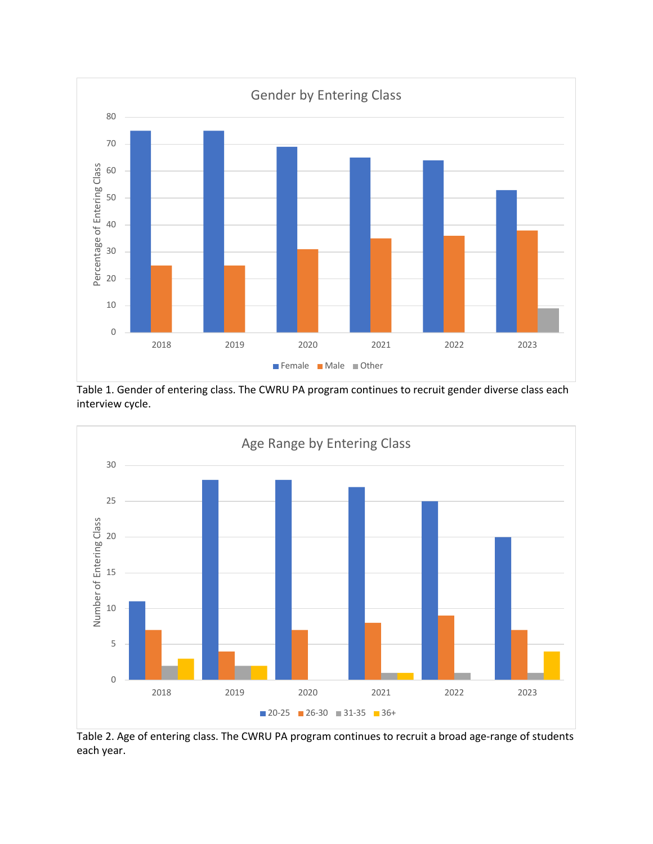

Table 1. Gender of entering class. The CWRU PA program continues to recruit gender diverse class each interview cycle.



Table 2. Age of entering class. The CWRU PA program continues to recruit a broad age-range of students each year.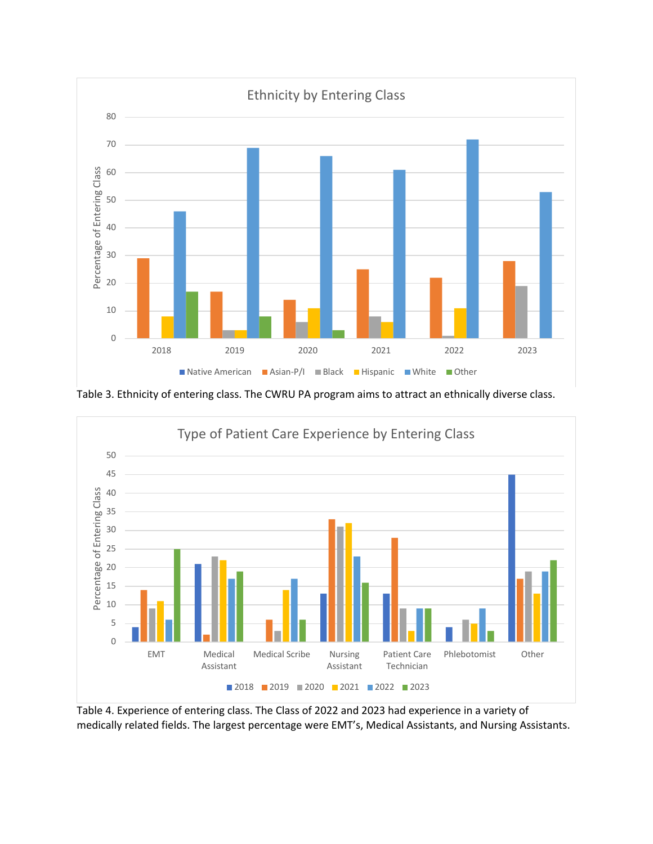

Table 3. Ethnicity of entering class. The CWRU PA program aims to attract an ethnically diverse class.



Table 4. Experience of entering class. The Class of 2022 and 2023 had experience in a variety of medically related fields. The largest percentage were EMT's, Medical Assistants, and Nursing Assistants.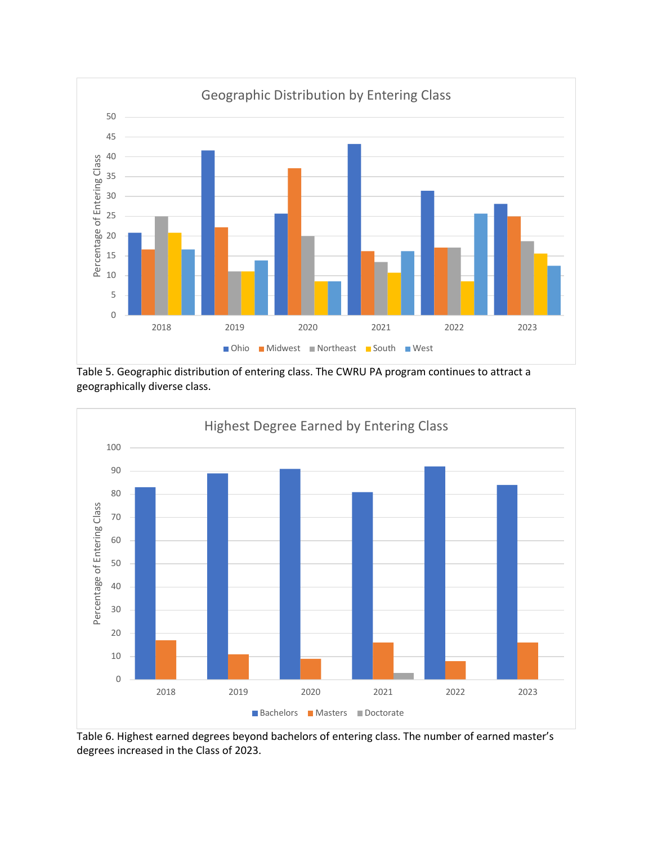

Table 5. Geographic distribution of entering class. The CWRU PA program continues to attract a geographically diverse class.



Table 6. Highest earned degrees beyond bachelors of entering class. The number of earned master's degrees increased in the Class of 2023.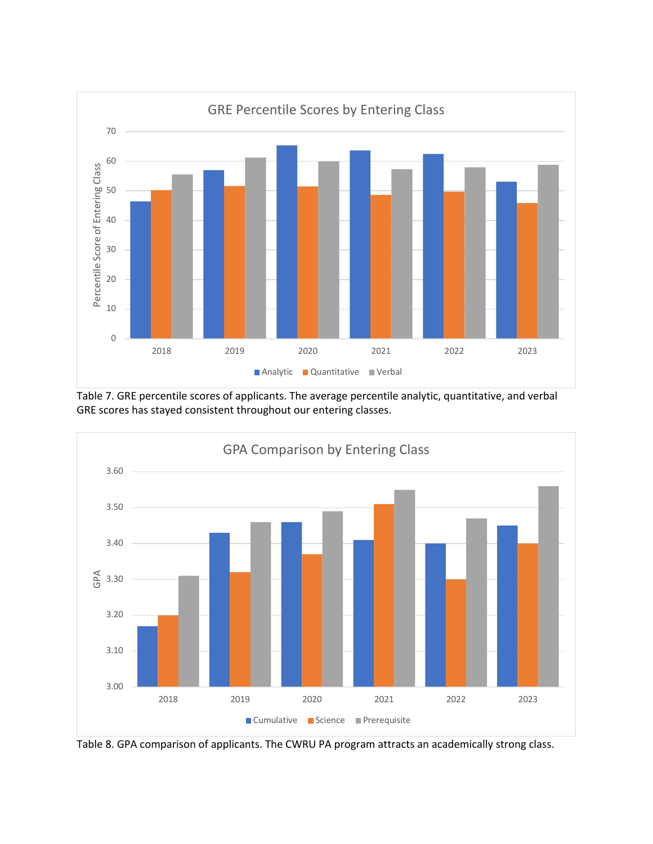

Table 7. GRE percentile scores of applicants. The average percentile analytic, quantitative, and verbal GRE scores has stayed consistent throughout our entering classes.



Table 8. GPA comparison of applicants. The CWRU PA program attracts an academically strong class.